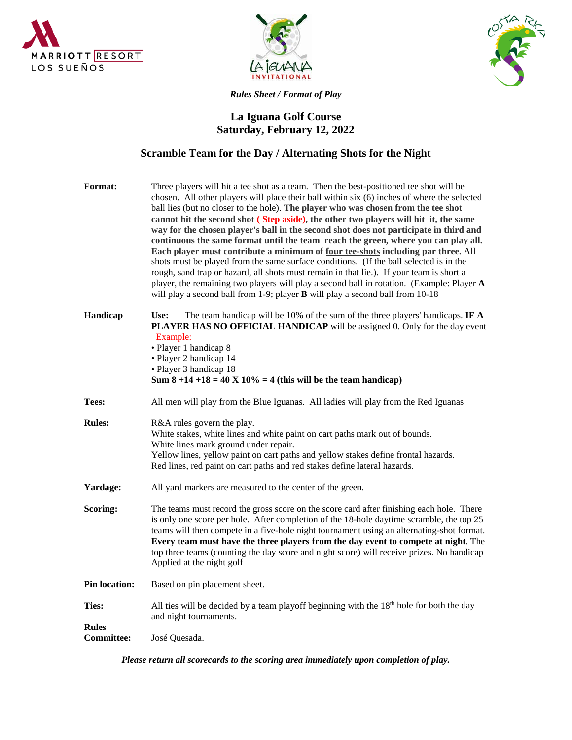





*Rules Sheet / Format of Play*

## **La Iguana Golf Course Saturday, February 12, 2022**

## **Scramble Team for the Day / Alternating Shots for the Night**

| <b>Format:</b>        | Three players will hit a tee shot as a team. Then the best-positioned tee shot will be<br>chosen. All other players will place their ball within six (6) inches of where the selected<br>ball lies (but no closer to the hole). The player who was chosen from the tee shot<br>cannot hit the second shot (Step aside), the other two players will hit it, the same<br>way for the chosen player's ball in the second shot does not participate in third and<br>continuous the same format until the team reach the green, where you can play all.<br>Each player must contribute a minimum of four tee-shots including par three. All<br>shots must be played from the same surface conditions. (If the ball selected is in the<br>rough, sand trap or hazard, all shots must remain in that lie.). If your team is short a<br>player, the remaining two players will play a second ball in rotation. (Example: Player $A$<br>will play a second ball from 1-9; player <b>B</b> will play a second ball from 10-18 |
|-----------------------|---------------------------------------------------------------------------------------------------------------------------------------------------------------------------------------------------------------------------------------------------------------------------------------------------------------------------------------------------------------------------------------------------------------------------------------------------------------------------------------------------------------------------------------------------------------------------------------------------------------------------------------------------------------------------------------------------------------------------------------------------------------------------------------------------------------------------------------------------------------------------------------------------------------------------------------------------------------------------------------------------------------------|
| Handicap              | The team handicap will be 10% of the sum of the three players' handicaps. IF $\bf{A}$<br>Use:<br><b>PLAYER HAS NO OFFICIAL HANDICAP</b> will be assigned 0. Only for the day event<br>Example:<br>· Player 1 handicap 8<br>• Player 2 handicap 14<br>• Player 3 handicap 18<br>Sum $8 + 14 + 18 = 40$ X $10\% = 4$ (this will be the team handicap)                                                                                                                                                                                                                                                                                                                                                                                                                                                                                                                                                                                                                                                                 |
| Tees:                 | All men will play from the Blue Iguanas. All ladies will play from the Red Iguanas                                                                                                                                                                                                                                                                                                                                                                                                                                                                                                                                                                                                                                                                                                                                                                                                                                                                                                                                  |
| <b>Rules:</b>         | R&A rules govern the play.<br>White stakes, white lines and white paint on cart paths mark out of bounds.<br>White lines mark ground under repair.<br>Yellow lines, yellow paint on cart paths and yellow stakes define frontal hazards.<br>Red lines, red paint on cart paths and red stakes define lateral hazards.                                                                                                                                                                                                                                                                                                                                                                                                                                                                                                                                                                                                                                                                                               |
| Yardage:              | All yard markers are measured to the center of the green.                                                                                                                                                                                                                                                                                                                                                                                                                                                                                                                                                                                                                                                                                                                                                                                                                                                                                                                                                           |
| Scoring:              | The teams must record the gross score on the score card after finishing each hole. There<br>is only one score per hole. After completion of the 18-hole daytime scramble, the top 25<br>teams will then compete in a five-hole night tournament using an alternating-shot format.<br>Every team must have the three players from the day event to compete at night. The                                                                                                                                                                                                                                                                                                                                                                                                                                                                                                                                                                                                                                             |
|                       | top three teams (counting the day score and night score) will receive prizes. No handicap<br>Applied at the night golf                                                                                                                                                                                                                                                                                                                                                                                                                                                                                                                                                                                                                                                                                                                                                                                                                                                                                              |
| <b>Pin location:</b>  | Based on pin placement sheet.                                                                                                                                                                                                                                                                                                                                                                                                                                                                                                                                                                                                                                                                                                                                                                                                                                                                                                                                                                                       |
| Ties:<br><b>Rules</b> | All ties will be decided by a team playoff beginning with the $18th$ hole for both the day<br>and night tournaments.                                                                                                                                                                                                                                                                                                                                                                                                                                                                                                                                                                                                                                                                                                                                                                                                                                                                                                |

*Please return all scorecards to the scoring area immediately upon completion of play.*